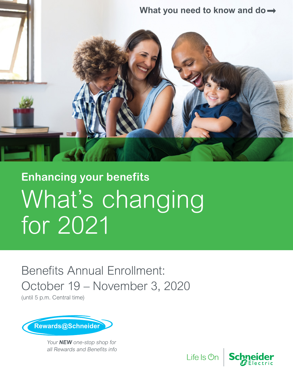

# What's changing for 2021 **Enhancing your benefits**

Benefits Annual Enrollment: October 19 – November 3, 2020

(until 5 p.m. Central time)



Your **NEW** one-stop shop for all Rewards and Benefits info

Life Is **Un** 

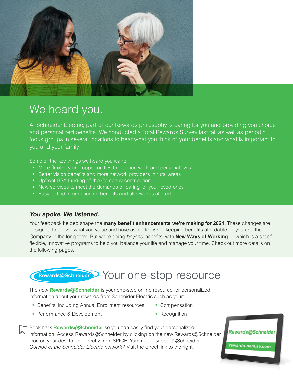

### We heard you.

At Schneider Electric, part of our Rewards philosophy is caring for you and providing you choice and personalized benefits. We conducted a Total Rewards Survey last fall as well as periodic focus groups in several locations to hear what you think of your benefits and what is important to you and your family.

Some of the key things we heard you want:

- More flexibility and opportunities to balance work and personal lives
- Better vision benefits and more network providers in rural areas
- Upfront HSA funding of the Company contribution
- New services to meet the demands of caring for your loved ones
- Easy-to-find information on benefits and all rewards offered

#### **You spoke. We listened.**

Your feedback helped shape the **many benefit enhancements we're making for 2021.** These changes are designed to deliver what you value and have asked for, while keeping benefits affordable for you and the Company in the long term. But we're going *beyond* benefits, with **New Ways of Working** — which is a set of flexible, innovative programs to help you balance your life and manage your time. Check out more details on the following pages.

### Your one-stop resource **Rewards@Schneider**

The *new* **Rewards@Schneider** is your one-stop online resource for personalized information about your rewards from Schneider Electric such as your:

- Benefits, including Annual Enrollment resources Compensation
- Performance & Development **•** Recognition
- 

Bookmark **Rewards@Schneider** so you can easily find your personalized information. Access Rewards@Schneider by clicking on the new Rewards@Schneider icon on your desktop or directly from SPICE, Yammer or support@Schneider. *Outside of the Schneider Electric network?* Visit the direct link to the right.

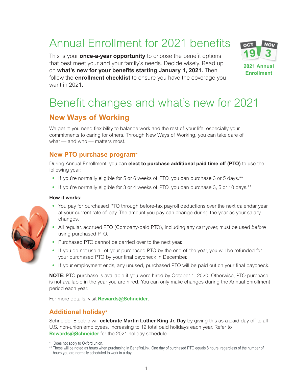### Annual Enrollment for 2021 benefits

This is your **once-a-year opportunity** to choose the benefit options that best meet your and your family's needs. Decide wisely. Read up on **what's new for your benefits starting January 1, 2021.** Then follow the **enrollment checklist** to ensure you have the coverage you want in 2021.



### Benefit changes and what's new for 2021

#### **New Ways of Working**

We get it: you need flexibility to balance work and the rest of your life, especially your commitments to caring for others. Through New Ways of Working, you can take care of what — and who — matters most.

#### **New PTO purchase program\***

During Annual Enrollment, you can **elect to purchase additional paid time off (PTO)** to use the following year:

- If you're normally eligible for 5 or 6 weeks of PTO, you can purchase 3 or 5 days.\*\*
- If you're normally eligible for 3 or 4 weeks of PTO, you can purchase 3, 5 or 10 days.\*\*

#### **How it works:**

- You pay for purchased PTO through before-tax payroll deductions over the next calendar year at your current rate of pay. The amount you pay can change during the year as your salary changes.
- All regular, accrued PTO (Company-paid PTO), including any carryover, must be used *before* using purchased PTO.
- Purchased PTO cannot be carried over to the next year.
- If you do not use all of your purchased PTO by the end of the year, you will be refunded for your purchased PTO by your final paycheck in December.
- If your employment ends, any unused, purchased PTO will be paid out on your final paycheck.

**NOTE:** PTO purchase is available if you were hired by October 1, 2020. Otherwise, PTO purchase is not available in the year you are hired. You can only make changes during the Annual Enrollment period each year.

For more details, visit **Rewards@Schneider**.

#### **Additional holiday\***

Schneider Electric will **celebrate Martin Luther King Jr. Day** by giving this as a paid day off to all U.S. non-union employees, increasing to 12 total paid holidays each year. Refer to **Rewards@Schneider** for the 2021 holiday schedule.

- \* Does not apply to Oxford union.
- \*\* These will be noted as hours when purchasing in BenefitsLink. One day of purchased PTO equals 8 hours, regardless of the number of hours you are normally scheduled to work in a day.

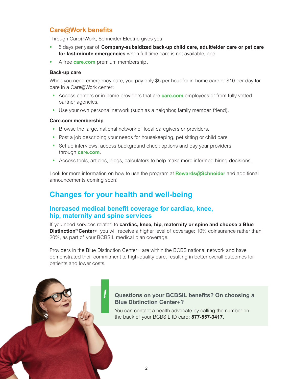#### **Care@Work benefits**

Through Care@Work, Schneider Electric gives you:

- 5 days per year of **Company-subsidized back-up child care, adult/elder care or pet care for last-minute emergencies** when full-time care is not available, and
- A free **care.com** premium membership.

#### **Back-up care**

When you need emergency care, you pay only \$5 per hour for in-home care or \$10 per day for care in a Care@Work center:

- Access centers or in-home providers that are **care.com** employees or from fully vetted partner agencies.
- Use your own personal network (such as a neighbor, family member, friend).

#### **Care.com membership**

- Browse the large, national network of local caregivers or providers.
- Post a job describing your needs for housekeeping, pet sitting or child care.
- Set up interviews, access background check options and pay your providers through **care.com**.
- Access tools, articles, blogs, calculators to help make more informed hiring decisions.

Look for more information on how to use the program at **Rewards@Schneider** and additional announcements coming soon!

#### **Changes for your health and well-being**

**!**

#### **Increased medical benefit coverage for cardiac, knee, hip, maternity and spine services**

If you need services related to **cardiac, knee, hip, maternity or spine and choose a Blue Distinction<sup>®</sup> Center+**, you will receive a higher level of coverage: 10% coinsurance rather than 20%, as part of your BCBSIL medical plan coverage.

Providers in the Blue Distinction Center+ are within the BCBS national network and have demonstrated their commitment to high-quality care, resulting in better overall outcomes for patients and lower costs.

#### **Questions on your BCBSIL benefits? On choosing a Blue Distinction Center+?**

You can contact a health advocate by calling the number on the back of your BCBSIL ID card: **877-557-3417.**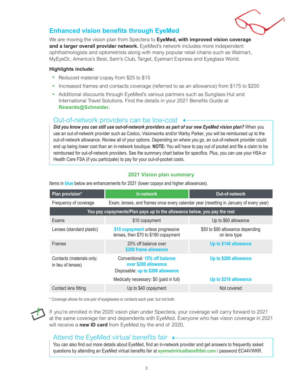

#### **Enhanced vision benefits through EyeMed**

We are moving the vision plan from Spectera to **EyeMed, with improved vision coverage and a larger overall provider network.** EyeMed's network includes more independent ophthalmologists and optometrists along with many popular retail chains such as Walmart, MyEyeDr., America's Best, Sam's Club, Target, Eyemart Express and Eyeglass World.

#### **Highlights include:**

- Reduced material copay from \$25 to \$15
- Increased frames and contacts coverage (referred to as an allowance) from \$175 to \$200
- Additional discounts through EyeMed's various partners such as Sunglass Hut and International Travel Solutions. Find the details in your 2021 Benefits Guide at **Rewards@Schneider**.

#### Out-of-network providers can be low-cost

*Did you know you can still use out-of-network providers as part of our new EyeMed vision plan?* When you use an out-of-network provider such as Costco, Visionworks and/or Warby Parker, you will be reimbursed up to the out-of-network allowance. Review all of your options. Depending on where you go, an out-of-network provider could end up being lower cost than an in-network boutique. **NOTE:** You will have to pay out of pocket and file a claim to be reimbursed for out-of-network providers. See the summary chart below for specifics. Plus, you can use your HSA or Health Care FSA (if you participate) to pay for your out-of-pocket costs.

#### **2021 Vision plan summary**

| Plan provision*                                                          | In-network                                                                                 | Out-of-network                                   |  |  |  |  |
|--------------------------------------------------------------------------|--------------------------------------------------------------------------------------------|--------------------------------------------------|--|--|--|--|
| Frequency of coverage                                                    | Exam, lenses, and frames once every calendar year (resetting in January of every year)     |                                                  |  |  |  |  |
| You pay copayments/Plan pays up to the allowance below, you pay the rest |                                                                                            |                                                  |  |  |  |  |
| Exams                                                                    | \$10 copayment                                                                             | Up to \$60 allowance                             |  |  |  |  |
| Lenses (standard plastic)                                                | \$15 copayment unless progressive<br>lenses, then \$70 to \$190 copayment                  | \$50 to \$90 allowance depending<br>on lens type |  |  |  |  |
| <b>Frames</b>                                                            | 20% off balance over<br>\$200 frame allowance                                              | Up to \$140 allowance                            |  |  |  |  |
| Contacts (materials only;<br>in lieu of lenses)                          | Conventional: 15% off balance<br>over \$200 allowance<br>Disposable: up to \$200 allowance | Up to \$200 allowance                            |  |  |  |  |
|                                                                          | Medically necessary: \$0 (paid in full)                                                    | Up to \$210 allowance                            |  |  |  |  |
| Contact lens fitting                                                     | Up to \$40 copayment                                                                       | Not covered                                      |  |  |  |  |

Items in **blue** below are enhancements for 2021 (lower copays and higher allowances).

\* Coverage allows for one pair of eyeglasses or contacts each year, but not both.

**!**

If you're enrolled in the 2020 vision plan under Spectera, your coverage will carry forward to 2021 at the same coverage tier and dependents with EyeMed. Everyone who has vision coverage in 2021 will receive a **new ID card** from EyeMed by the end of 2020.

#### Attend the EyeMed virtual benefits fair  $\leftrightarrow$

You can also find out more details about EyeMed, find an in-network provider and get answers to frequently asked questions by attending an EyeMed virtual benefits fair at **eyemedvirtualbenefitfair.com** / password EC44VWKR.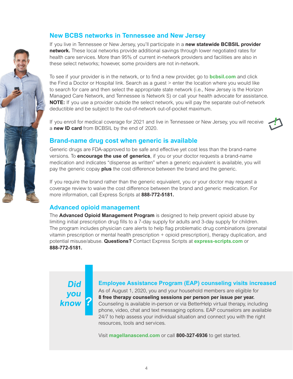#### **New BCBS networks in Tennessee and New Jersey**

If you live in Tennessee or New Jersey, you'll participate in a **new statewide BCBSIL provider network.** These local networks provide additional savings through lower negotiated rates for health care services. More than 95% of current in-network providers and facilities are also in these select networks; however, some providers are not in-network.

To see if your provider is in the network, or to find a new provider, go to **bcbsil.com** and click the Find a Doctor or Hospital link. Search as a guest > enter the location where you would like to search for care and then select the appropriate state network (i.e., New Jersey is the Horizon Managed Care Network, and Tennessee is Network S) or call your health advocate for assistance. **NOTE:** If you use a provider outside the select network, you will pay the separate out-of-network deductible and be subject to the out-of-network out-of-pocket maximum.

If you enroll for medical coverage for 2021 and live in Tennessee or New Jersey, you will receive a **new ID card** from BCBSIL by the end of 2020.



#### **Brand-name drug cost when generic is available**

Generic drugs are FDA-approved to be safe and effective yet cost less than the brand-name versions. To **encourage the use of generics**, if you or your doctor requests a brand-name medication and indicates "dispense as written" when a generic equivalent is available, you will pay the generic copay **plus** the cost difference between the brand and the generic.

If you require the brand rather than the generic equivalent, you or your doctor may request a coverage review to waive the cost difference between the brand and generic medication. For more information, call Express Scripts at **888-772-5181.**

#### **Advanced opioid management**

The **Advanced Opioid Management Program** is designed to help prevent opioid abuse by limiting initial prescription drug fills to a 7-day supply for adults and 3-day supply for children. The program includes physician care alerts to help flag problematic drug combinations (prenatal vitamin prescription or mental health prescription + opioid prescription), therapy duplication, and potential misuse/abuse. **Questions?** Contact Express Scripts at **express-scripts.com** or **888-772-5181.**

**? Did you know**

#### **Employee Assistance Program (EAP) counseling visits increased**

As of August 1, 2020, you and your household members are eligible for **8 free therapy counseling sessions per person per issue per year.**  Counseling is available in-person or via BetterHelp virtual therapy, including phone, video, chat and text messaging options. EAP counselors are available 24/7 to help assess your individual situation and connect you with the right resources, tools and services.

Visit **magellanascend.com** or call **800-327-6936** to get started.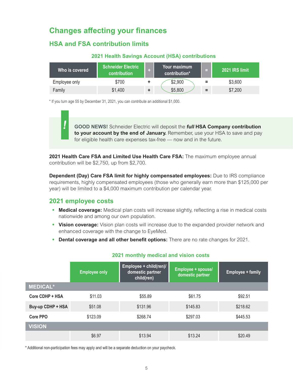#### **Changes affecting your finances**

#### **HSA and FSA contribution limits**

#### **2021 Health Savings Account (HSA) contributions**

| Who is covered | <b>Schneider Electric</b><br>contribution | Your maximum<br>contribution* | e.       | 2021 IRS limit |
|----------------|-------------------------------------------|-------------------------------|----------|----------------|
| Employee only  | \$700                                     | \$2,900                       | $\equiv$ | \$3,600        |
| Family         | \$1,400                                   | \$5,800                       | =        | \$7,200        |

\* If you turn age 55 by December 31, 2021, you can contribute an additional \$1,000.

**GOOD NEWS!** Schneider Electric will deposit the **full HSA Company contribution to your account by the end of January.** Remember, use your HSA to save and pay for eligible health care expenses tax-free — now and in the future.

**2021 Health Care FSA and Limited Use Health Care FSA:** The maximum employee annual contribution will be \$2,750, up from \$2,700.

**Dependent (Day) Care FSA limit for highly compensated employees:** Due to IRS compliance requirements, highly compensated employees (those who generally earn more than \$125,000 per year) will be limited to a \$4,000 maximum contribution per calendar year.

#### **2021 employee costs**

**!**

- **Medical coverage:** Medical plan costs will increase slightly, reflecting a rise in medical costs nationwide and among our own population.
- **Vision coverage:** Vision plan costs will increase due to the expanded provider network and enhanced coverage with the change to EyeMed.
- **Dental coverage and all other benefit options:** There are no rate changes for 2021.

|                   | <b>Employee only</b> | Employee + child(ren)/<br>domestic partner<br>child(ren) | Employee + spouse/<br>domestic partner | <b>Employee + family</b> |
|-------------------|----------------------|----------------------------------------------------------|----------------------------------------|--------------------------|
| <b>MEDICAL*</b>   |                      |                                                          |                                        |                          |
| Core CDHP + HSA   | \$11.03              | \$55.89                                                  | \$61.75                                | \$92.51                  |
| Buy-up CDHP + HSA | \$51.08              | \$131.96                                                 | \$145.83                               | \$218.62                 |
| Core PPO          | \$123.09             | \$268.74                                                 | \$297.03                               | \$445.53                 |
| <b>VISION</b>     |                      |                                                          |                                        |                          |
|                   | \$6.97               | \$13.94                                                  | \$13.24                                | \$20.49                  |

#### **2021 monthly medical and vision costs**

\* Additional non-participation fees may apply and will be a separate deduction on your paycheck.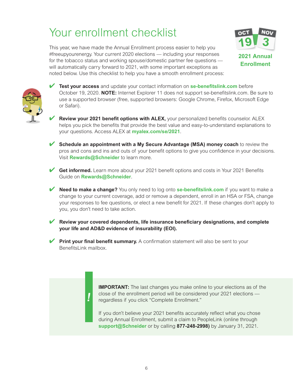### Your enrollment checklist

This year, we have made the Annual Enrollment process easier to help you #freeupyourenergy. Your current 2020 elections — including your responses for the tobacco status and working spouse/domestic partner fee questions will automatically carry forward to 2021, with some important exceptions as noted below. Use this checklist to help you have a smooth enrollment process:



**Enrollment**



- ✔ **Test your access** and update your contact information on **se-benefitslink.com** before October 19, 2020. **NOTE:** Internet Explorer 11 does not support se-benefitslink.com. Be sure to use a supported browser (free, supported browsers: Google Chrome, Firefox, Microsoft Edge or Safari).
- **Review your 2021 benefit options with ALEX, your personalized benefits counselor. ALEX** helps you pick the benefits that provide the best value and easy-to-understand explanations to your questions. Access ALEX at **myalex.com/se/2021**.
- ✔ **Schedule an appointment with a My Secure Advantage (MSA) money coach** to review the pros and cons and ins and outs of your benefit options to give you confidence in your decisions. Visit **Rewards@Schneider** to learn more.
- **Get informed.** Learn more about your 2021 benefit options and costs in Your 2021 Benefits Guide on **Rewards@Schneider**.
- ✔ **Need to make a change?** You only need to log onto **se-benefitslink.com** if you want to make a change to your current coverage, add or remove a dependent, enroll in an HSA or FSA, change your responses to fee questions, or elect a new benefit for 2021. If these changes don't apply to you, you don't need to take action.
- **Review your covered dependents, life insurance beneficiary designations, and complete your life and AD&D evidence of insurability (EOI).**
- **Print your final benefit summary.** A confirmation statement will also be sent to your BenefitsLink mailbox.

**!**

**IMPORTANT:** The last changes you make online to your elections as of the close of the enrollment period will be considered your 2021 elections regardless if you click "Complete Enrollment."

If you don't believe your 2021 benefits accurately reflect what you chose during Annual Enrollment, submit a claim to PeopleLink (online through **support@Schneider** or by calling **877-248-2998)** by January 31, 2021.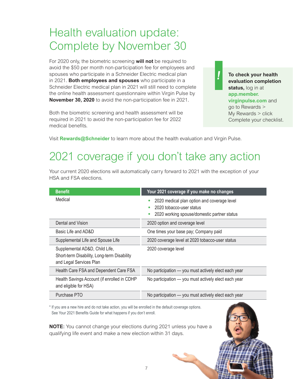### Health evaluation update: Complete by November 30

For 2020 only, the biometric screening **will not** be required to avoid the \$50 per month non-participation fee for employees and spouses who participate in a Schneider Electric medical plan in 2021. **Both employees and spouses** who participate in a Schneider Electric medical plan in 2021 will still need to complete the online health assessment questionnaire within Virgin Pulse by **November 30, 2020** to avoid the non-participation fee in 2021.

Both the biometric screening and health assessment will be required in 2021 to avoid the non-participation fee for 2022 medical benefits.

**To check your health evaluation completion status,** log in at **app.member. virginpulse.com** and go to Rewards > My Rewards > click Complete your checklist.

**!**

Visit **Rewards@Schneider** to learn more about the health evaluation and Virgin Pulse.

### 2021 coverage if you don't take any action

| <b>Benefit</b>                                                                                           | Your 2021 coverage if you make no changes                                                                              |
|----------------------------------------------------------------------------------------------------------|------------------------------------------------------------------------------------------------------------------------|
| Medical                                                                                                  | 2020 medical plan option and coverage level<br>2020 tobacco-user status<br>2020 working spouse/domestic partner status |
| Dental and Vision                                                                                        | 2020 option and coverage level                                                                                         |
| Basic Life and AD&D                                                                                      | One times your base pay; Company paid                                                                                  |
| Supplemental Life and Spouse Life                                                                        | 2020 coverage level at 2020 tobacco-user status                                                                        |
| Supplemental AD&D, Child Life,<br>Short-term Disability, Long-term Disability<br>and Legal Services Plan | 2020 coverage level                                                                                                    |
| Health Care FSA and Dependent Care FSA                                                                   | No participation - you must actively elect each year                                                                   |
| Health Savings Account (if enrolled in CDHP<br>and eligible for HSA)                                     | No participation - you must actively elect each year                                                                   |
| Purchase PTO                                                                                             | No participation - you must actively elect each year                                                                   |

Your current 2020 elections will automatically carry forward to 2021 with the exception of your HSA and FSA elections.

\* If you are a new hire and do not take action, you will be enrolled in the default coverage options. See Your 2021 Benefits Guide for what happens if you don't enroll.

**NOTE:** You cannot change your elections during 2021 unless you have a qualifying life event and make a new election within 31 days.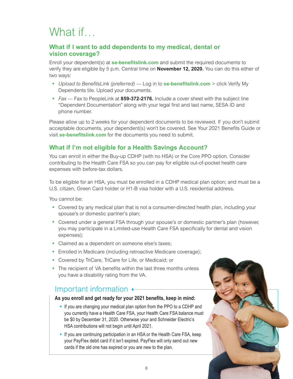## What if

#### **What if I want to add dependents to my medical, dental or vision coverage?**

Enroll your dependent(s) at **se-benefitslink.com** and submit the required documents to verify they are eligible by 5 p.m. Central time on **November 12, 2020.** You can do this either of two ways:

- *Upload to BenefitsLink (preferred)* Log in to **se-benefitslink.com** > click Verify My Dependents tile. Upload your documents.
- *Fax* Fax to PeopleLink at **859-372-2176.** Include a cover sheet with the subject line "Dependent Documentation" along with your legal first and last name, SESA ID and phone number.

Please allow up to 2 weeks for your dependent documents to be reviewed. If you don't submit acceptable documents, your dependent(s) won't be covered. See Your 2021 Benefits Guide or visit **se-benefitslink.com** for the documents you need to submit.

#### **What if I'm not eligible for a Health Savings Account?**

You can enroll in either the Buy-up CDHP (with no HSA) or the Core PPO option. Consider contributing to the Health Care FSA so you can pay for eligible out-of-pocket health care expenses with before-tax dollars.

To be eligible for an HSA, you must be enrolled in a CDHP medical plan option; and must be a U.S. citizen, Green Card holder or H1-B visa holder with a U.S. residential address.

You cannot be:

- Covered by any medical plan that is not a consumer-directed health plan, including your spouse's or domestic partner's plan;
- Covered under a general FSA through your spouse's or domestic partner's plan (however, you may participate in a Limited-use Health Care FSA specifically for dental and vision expenses);
- Claimed as a dependent on someone else's taxes;
- Enrolled in Medicare (including retroactive Medicare coverage);
- Covered by TriCare, TriCare for Life, or Medicaid; or
- The recipient of VA benefits within the last three months unless you have a disability rating from the VA.

#### Important information  $\leftarrow$

#### **As you enroll and get ready for your 2021 benefits, keep in mind:**

- If you are changing your medical plan option from the PPO to a CDHP and you currently have a Health Care FSA, your Health Care FSA balance must be \$0 by December 31, 2020. Otherwise your and Schneider Electric's HSA contributions will not begin until April 2021.
- If you are continuing participation in an HSA or the Health Care FSA, keep your PayFlex debit card if it isn't expired. PayFlex will only send out new cards if the old one has expired or you are new to the plan.

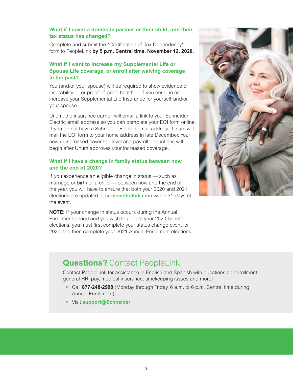#### **What if I cover a domestic partner or their child, and their tax status has changed?**

Complete and submit the "Certification of Tax Dependency" form to PeopleLink **by 5 p.m. Central time, November 12, 2020.**

#### **What if I want to increase my Supplemental Life or Spouse Life coverage, or enroll after waiving coverage in the past?**

You (and/or your spouse) will be required to show evidence of insurability — or proof of good health — if you enroll in or increase your Supplemental Life Insurance for yourself and/or your spouse.

Unum, the insurance carrier, will email a link to your Schneider Electric email address so you can complete your EOI form online. If you do not have a Schneider Electric email address, Unum will mail the EOI form to your home address in late December. Your new or increased coverage level and payroll deductions will begin after Unum approves your increased coverage.

#### **What if I have a change in family status between now and the end of 2020?**

If you experience an eligible change in status — such as marriage or birth of a child — between now and the end of the year, you will have to ensure that both your 2020 and 2021 elections are updated at **se-benefitslink.com** within 31 days of the event.

**NOTE:** If your change in status occurs during the Annual Enrollment period and you wish to update your 2020 benefit elections, you must first complete your status change event for 2020 and then complete your 2021 Annual Enrollment elections.



### **Questions?** Contact PeopleLink.

Contact PeopleLink for assistance in English and Spanish with questions on enrollment, general HR, pay, medical insurance, timekeeping issues and more!

- Call **877-248-2998** (Monday through Friday, 6 a.m. to 6 p.m. Central time during Annual Enrollment).
- Visit **support@Schneider**.